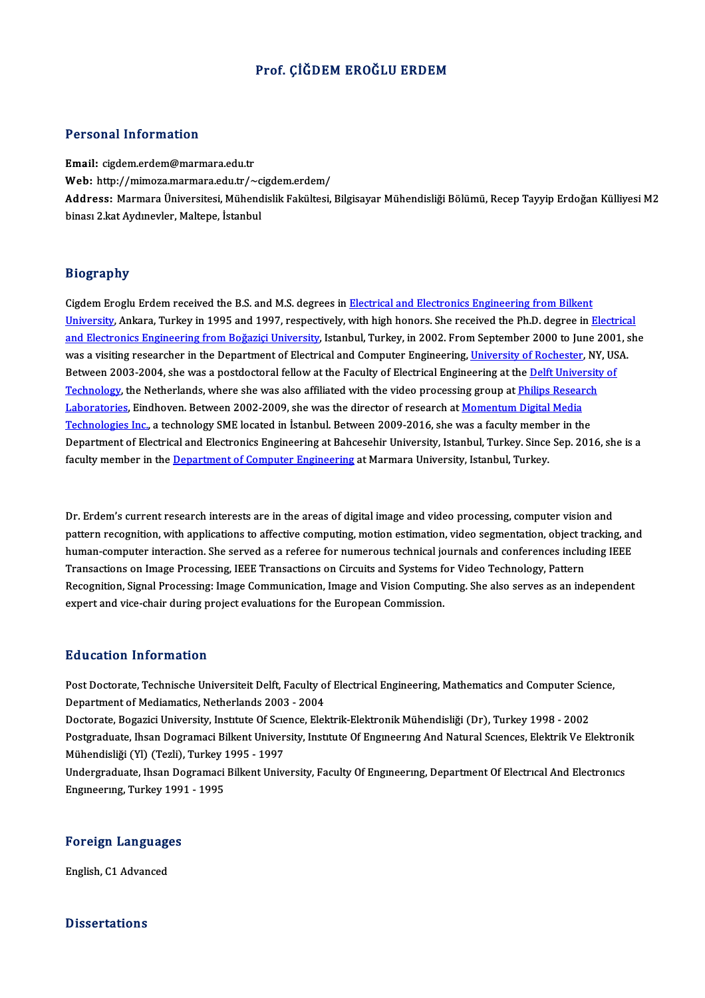## Prof. CİĞDEM EROĞLU ERDEM

### Personal Information

Email: cigdem.erdem@marmara.edu.tr r ereenar mirermation<br>Email: cigdem.erdem@marmara.edu.tr<br>Web: http://mimoza.marmara.edu.tr/~cigdem.erdem/<br>Address: Marmara Universitesi Mühandielik Fakültesi Address: Marmara Üniversitesi, Mühendislik Fakültesi, Bilgisayar Mühendisliği Bölümü, Recep Tayyip Erdoğan Külliyesi M2<br>binası 2.kat Aydınevler. Maltepe. İstanbul Web: http://mimoza.marmara.edu.tr/~c<br><mark>Address:</mark> Marmara Üniversitesi, Mühend<br>binası 2.kat Aydınevler, Maltepe, İstanbul

### Biography

Cigdem Eroglu Erdem received the B.S. and M.S. degrees in Electrical and Electronics Engineering from Bilkent University,<br>Cigdem Eroglu Erdem received the B.S. and M.S. degrees in <u>Electrical and Electronics Engineering from Bilkent</u><br>University, Ankara, Turkey in 1995 and 1997, respectively, with high honors. She received the Ph.D Cigdem Eroglu Erdem received the B.S. and M.S. degrees in <u>Electrical and Electronics Engineering from Bilkent<br><u>University</u>, Ankara, Turkey in 1995 and 1997, respectively, with high honors. She received the Ph.D. degree in</u> University, Ankara, Turkey in 1995 and 1997, respectively, with high honors. She received the Ph.D. degree in <u>Electrica</u><br><u>and Electronics Engineering from Boğaziçi University</u>, Istanbul, Turkey, in 2002. From September 20 and Electronics Engineering from Boğaziçi University, Istanbul, Turkey, in 2002. From September 2000 to June 200<br>was a visiting researcher in the Department of Electrical and Computer Engineering, <u>University of Rochester</u> was a visiting researcher in the Department of Electrical and Computer Engineering, University of Rochester, NY, USA.<br>Between 2003-2004, she was a postdoctoral fellow at the Faculty of Electrical Engineering at the <u>Delft </u> Between 2003-2004, she was a postdoctoral fellow at the Faculty of Electrical Engineering at the <u>Delft Univer<br>Technology</u>, the Netherlands, where she was also affiliated with the video processing group at <u>Philips Researc</u> Technology, the Netherlands, where she was also affiliated with the video processing group at <u>Philips Research</u><br><u>Laboratories</u>, Eindhoven. Between 2002-2009, she was the director of research at <u>Momentum Digital Media</u><br>Te <u>Laboratories</u>, Eindhoven. Between 2002-2009, she was the director of research at <u>Momentum Digital Media</u><br><u>Technologies Inc.</u>, a technology SME located in Istanbul. Between 2009-2016, she was a faculty member in the<br>Depar Technologies Inc., a technology SME located in Istanbul. Between 2009-2016, she was a faculty member in the<br>Department of Electrical and Electronics Engineering at Bahcesehir University, Istanbul, Turkey. Since Sep. 2016,

Dr. Erdem's current research interests are in the areas of digital image and video processing, computer vision and<br>nattern resegnition, with enplications to effective computing, mation estimation, video segmentation, ebjec Dr. Erdem's current research interests are in the areas of digital image and video processing, computer vision and<br>pattern recognition, with applications to affective computing, motion estimation, video segmentation, objec Dr. Erdem's current research interests are in the areas of digital image and video processing, computer vision and<br>pattern recognition, with applications to affective computing, motion estimation, video segmentation, objec pattern recognition, with applications to affective computing, motion estimation, video segmentation, object tr<br>human-computer interaction. She served as a referee for numerous technical journals and conferences include<br>Tr human-computer interaction. She served as a referee for numerous technical journals and conferences including IEEE<br>Transactions on Image Processing, IEEE Transactions on Circuits and Systems for Video Technology, Pattern<br>R Transactions on Image Processing, IEEE Transactions on Circuits and Systems for Video Technology, Pattern<br>Recognition, Signal Processing: Image Communication, Image and Vision Computing. She also serves as an independent<br>e

### Education Information

Education Information<br>Post Doctorate, Technische Universiteit Delft, Faculty of Electrical Engineering, Mathematics and Computer Science,<br>Penartmant of Modiamatics, Natharlanda 2002, 2004 Du d'eueron Throi mueron<br>Post Doctorate, Technische Universiteit Delft, Faculty o<br>Department of Mediamatics, Netherlands 2003 - 2004<br>Desterate, Pessaisi University, Institute Of Savage, Elel Post Doctorate, Technische Universiteit Delft, Faculty of Electrical Engineering, Mathematics and Computer Scie<br>Department of Mediamatics, Netherlands 2003 - 2004<br>Doctorate, Bogazici University, Institute Of Science, Elekt

Department of Mediamatics, Netherlands 2003 - 2004<br>Doctorate, Bogazici University, Institute Of Science, Elektrik-Elektronik Mühendisliği (Dr), Turkey 1998 - 2002<br>Postgraduate, Ihsan Dogramaci Bilkent University, Institute Doctorate, Bogazici University, Institute Of Scie<br>Postgraduate, Ihsan Dogramaci Bilkent Univer<br>Mühendisliği (Yl) (Tezli), Turkey 1995 - 1997<br>Undergraduate, Ibsan Dogramaci Billiant Unive Postgraduate, Ihsan Dogramaci Bilkent University, Institute Of Engineering And Natural Sciences, Elektrik Ve Elektroni<br>Mühendisliği (Yl) (Tezli), Turkey 1995 - 1997<br>Undergraduate, Ihsan Dogramaci Bilkent University, Facult

Mühendisliği (Yl) (Tezli), Turkey 1<br>Undergraduate, Ihsan Dogramaci<br>Engıneerıng, Turkey 1991 - 1995

# <sub>Engmeering, Turkey 199</sub><br>Foreign Languages <mark>Foreign Language</mark><br>English, C1 Advanced

English, C1 Advanced<br>Dissertations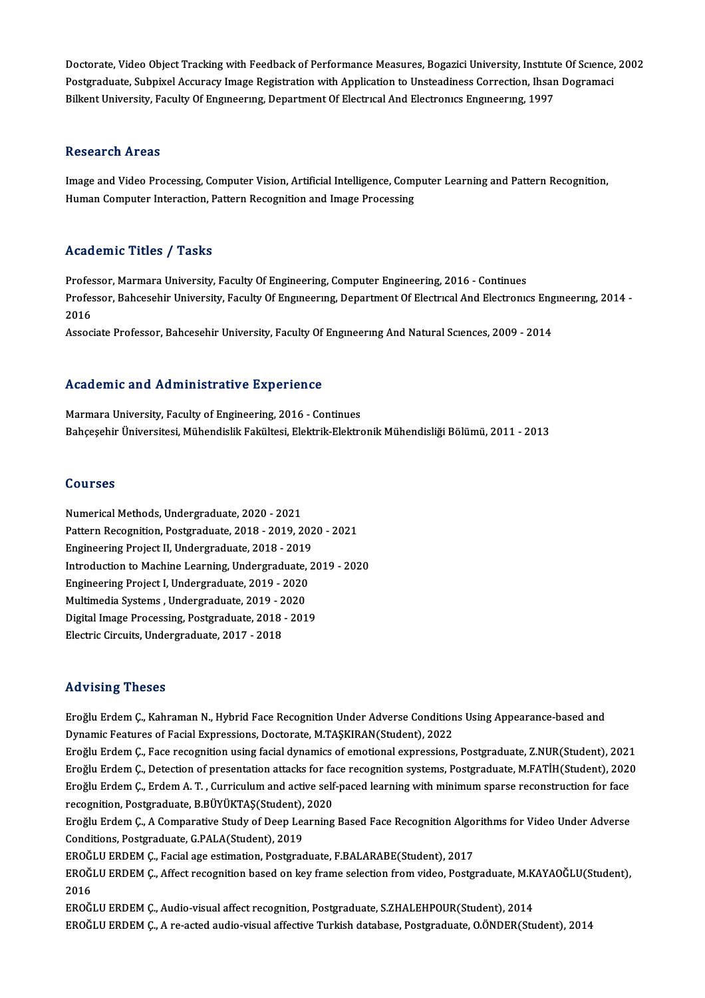Doctorate, Video Object Tracking with Feedback of Performance Measures, Bogazici University, Institute Of Science, 2002<br>Pestaneduate Subbivel Acquiney Image Pegistration with Application to Unsteadinese Connection, Ibaan D Doctorate, Video Object Tracking with Feedback of Performance Measures, Bogazici University, Institute Of Science,<br>Postgraduate, Subpixel Accuracy Image Registration with Application to Unsteadiness Correction, Ihsan Dogra Doctorate, Video Object Tracking with Feedback of Performance Measures, Bogazici University, Institut<br>Postgraduate, Subpixel Accuracy Image Registration with Application to Unsteadiness Correction, Ihsan<br>Bilkent University Bilkent University, Faculty Of Engineering, Department Of Electrical And Electronics Engineering, 1997<br>Research Areas

Research Areas<br>Image and Video Processing, Computer Vision, Artificial Intelligence, Computer Learning and Pattern Recognition,<br>Human Computer Interaction, Battern Becognition and Image Brocessing. 1000011 on 111 000<br>Image and Video Processing, Computer Vision, Artificial Intelligence, Com<sub>l</sub><br>Human Computer Interaction, Pattern Recognition and Image Processing Human Computer Interaction, Pattern Recognition and Image Processing<br>Academic Titles / Tasks

Academic Titles / Tasks<br>Professor, Marmara University, Faculty Of Engineering, Computer Engineering, 2016 - Continues<br>Professor, Pehsesohin University, Faculty Of Engineering, Department Of Electrical And Electronic Professor, Marmara University, Faculty Of Engineering, Computer Engineering, 2016 - Continues<br>Professor, Marmara University, Faculty Of Engineering, Department Of Electrical And Electronics Engineering, 2014 -<br>2016 Profes<br>Profes<br>2016 Professor, Bahcesehir University, Faculty Of Engıneering, Department Of Electrical And Electronics Eng<br>2016<br>Associate Professor, Bahcesehir University, Faculty Of Engineering And Natural Sciences, 2009 - 2014

Associate Professor, Bahcesehir University, Faculty Of Engineering And Natural Sciences, 2009 - 2014<br>Academic and Administrative Experience

Marmara University, Faculty of Engineering, 2016 - Continues Bahçeşehir Üniversitesi, Mühendislik Fakültesi, Elektrik-Elektronik Mühendisliği Bölümü, 2011 - 2013

### Courses

Numerical Methods, Undergraduate, 2020 - 2021 Sourbes<br>Numerical Methods, Undergraduate, 2020 - 2021<br>Pattern Recognition, Postgraduate, 2018 - 2019, 2020 - 2021<br>Engineering Breject II, Undergraduate, 2018 - 2019 Numerical Methods, Undergraduate, 2020 - 2021<br>Pattern Recognition, Postgraduate, 2018 - 2019, 202<br>Engineering Project II, Undergraduate, 2018 - 2019<br>Introduction to Mashine Learning, Undergraduate Pattern Recognition, Postgraduate, 2018 - 2019, 2020 - 2021<br>Engineering Project II, Undergraduate, 2018 - 2019<br>Introduction to Machine Learning, Undergraduate, 2019 - 2020<br>Engineering Project I, Undergraduate, 2019, 2020 Engineering Project II, Undergraduate, 2018 - 2019<br>Introduction to Machine Learning, Undergraduate, .<br>Engineering Project I, Undergraduate, 2019 - 2020<br>Multimadia Systems, Undergraduate, 2019 - 2020 Introduction to Machine Learning, Undergraduate,<br>Engineering Project I, Undergraduate, 2019 - 2020<br>Multimedia Systems , Undergraduate, 2019 - 2020<br>Digital Image Precessing, Pestgraduate, 2019 - 201 Engineering Project I, Undergraduate, 2019 - 2020<br>Multimedia Systems , Undergraduate, 2019 - 2020<br>Digital Image Processing, Postgraduate, 2018 - 2019<br>Electric Circuits, Undergraduate, 2017 - 2018 Multimedia Systems, Undergraduate, 2019 - 2020

### Advising Theses

Advising Theses<br>Eroğlu Erdem Ç., Kahraman N., Hybrid Face Recognition Under Adverse Conditions Using Appearance-based and<br>Dimamis Features of Facial Expressions, Destants, M.TASVIBAN(Student), 2022 rra viering i rreses<br>Eroğlu Erdem Ç., Kahraman N., Hybrid Face Recognition Under Adverse Condition<br>Dynamic Features of Facial Expressions, Doctorate, M.TAŞKIRAN(Student), 2022<br>Eneğlu Erdem C. Esse recognition using facial Dynamic Features of Facial Expressions, Doctorate, M.TAŞKIRAN(Student), 2022<br>Eroğlu Erdem Ç., Face recognition using facial dynamics of emotional expressions, Postgraduate, Z.NUR(Student), 2021

Dynamic Features of Facial Expressions, Doctorate, M.TAŞKIRAN(Student), 2022<br>Eroğlu Erdem Ç., Face recognition using facial dynamics of emotional expressions, Postgraduate, Z.NUR(Student), 2021<br>Eroğlu Erdem Ç., Detection o Eroğlu Erdem Ç., Face recognition using facial dynamics of emotional expressions, Postgraduate, Z.NUR(Student), 2021<br>Eroğlu Erdem Ç., Detection of presentation attacks for face recognition systems, Postgraduate, M.FATİH(St Eroğlu Erdem Ç., Detection of presentation attacks for fa<br>Eroğlu Erdem Ç., Erdem A. T. , Curriculum and active self<br>recognition, Postgraduate, B.BÜYÜKTAŞ(Student), 2020<br>Enağlu Erdem C. A Componstive Study of Deep Learning Eroğlu Erdem Ç., Erdem A. T. , Curriculum and active self-paced learning with minimum sparse reconstruction for face<br>recognition, Postgraduate, B.BÜYÜKTAŞ(Student), 2020<br>Eroğlu Erdem Ç., A Comparative Study of Deep Learnin

recognition, Postgraduate, B.BÜYÜKTAŞ(Student),<br>Eroğlu Erdem Ç., A Comparative Study of Deep Lea<br>Conditions, Postgraduate, G.PALA(Student), 2019<br>EROĞLU ERDEM G. Fasial age estimation, Postgrad Eroğlu Erdem Ç., A Comparative Study of Deep Learning Based Face Recognition Algo:<br>Conditions, Postgraduate, G.PALA(Student), 2019<br>EROĞLU ERDEM Ç., Facial age estimation, Postgraduate, F.BALARABE(Student), 2017<br>EROĞLU ERDE

Conditions, Postgraduate, G.PALA(Student), 2019<br>EROĞLU ERDEM Ç., Facial age estimation, Postgraduate, F.BALARABE(Student), 2017<br>EROĞLU ERDEM Ç., Affect recognition based on key frame selection from video, Postgraduate, M.K EROĞLU ERDEM Ç., Facial age estimation, Postgraduate, F.BALARABE(Student), 2017<br>EROĞLU ERDEM Ç., Affect recognition based on key frame selection from video, Postgraduate, M.K<br>2016<br>EROĞLU ERDEM Ç., Audio-visual affect recog EROĞLU ERDEM Ç., Affect recognition based on key frame selection from video, Postgraduate, M.K.<br>2016<br>EROĞLU ERDEM Ç., Audio-visual affect recognition, Postgraduate, S.ZHALEHPOUR(Student), 2014<br>EROĞLU ERDEM Ç. A.ra astad au

EROĞLU ERDEM Ç., A re-acted audio-visual affective Turkish database, Postgraduate, O.ÖNDER(Student), 2014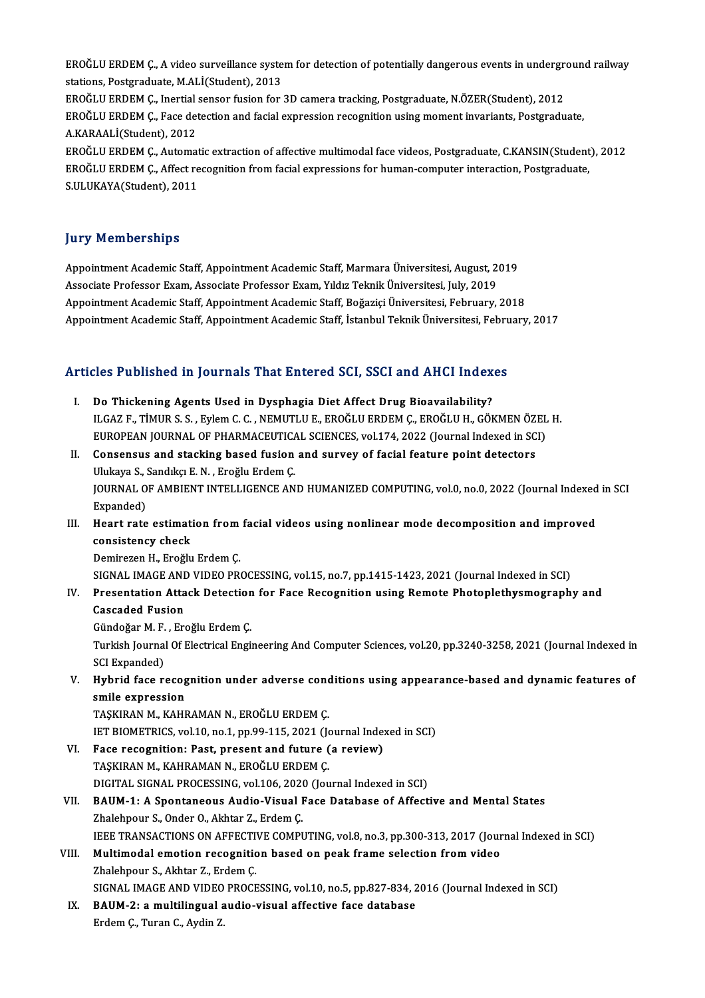EROĞLU ERDEM Ç., A video surveillance system for detection of potentially dangerous events in underground railway<br>Stations Pestanedusta M Al I(Student), 2012 EROĞLU ERDEM Ç., A video surveillance syste<br>stations, Postgraduate, M.ALİ(Student), 2013<br>EROĞLU ERDEM G. Jacıtial sensen fusion for EROĞLU ERDEM Ç., A video surveillance system for detection of potentially dangerous events in undergretial sensor<br>stations, Postgraduate, M.ALİ(Student), 2013<br>EROĞLU ERDEM Ç., Inertial sensor fusion for 3D camera tracking, stations, Postgraduate, M.ALİ(Student), 2013<br>EROĞLU ERDEM Ç., Inertial sensor fusion for 3D camera tracking, Postgraduate, N.ÖZER(Student), 2012<br>EROĞLU ERDEM Ç., Face detection and facial expression recognition using momen EROĞLU ERDEM C., Inertial sensor fusion for 3D camera tracking, Postgraduate, N.ÖZER(Student), 2012 EROĞLU ERDEM Ç., Automatic extraction of affective multimodal face videos, Postgraduate, C.KANSIN(Student), 2012 A.KARAALİ(Student), 2012<br>EROĞLU ERDEM Ç., Automatic extraction of affective multimodal face videos, Postgraduate, C.KANSIN(Student<br>EROĞLU ERDEM Ç., Affect recognition from facial expressions for human-computer interaction,

EROĞLU ERDEM Ç., Automat<br>EROĞLU ERDEM Ç., Affect re<br>S.ULUKAYA(Student), 2011 S.ULUKAYA(Student), 2011<br>Jury Memberships

**Jury Memberships<br>Appointment Academic Staff, Appointment Academic Staff, Marmara Üniversitesi, August, 2019<br>Asseriste Brefessor Fram, Asseriste Brefessor Fram, Vildy Telmik Üniversitesi, July, 2019** yary Trommorumpu<br>Appointment Academic Staff, Appointment Academic Staff, Marmara Üniversitesi, August, 2<br>Associate Professor Exam, Associate Professor Exam, Yıldız Teknik Üniversitesi, July, 2019<br>Anneintment Academic Staff Associate Professor Exam, Associate Professor Exam, Yıldız Teknik Üniversitesi, July, 2019<br>Appointment Academic Staff, Appointment Academic Staff, Boğaziçi Üniversitesi, February, 2018 Appointment Academic Staff, Appointment Academic Staff, İstanbul Teknik Üniversitesi, February, 2017

# Appointment Academic Starr, Appointment Academic Starr, Istanbul Teknik Universitesi, Pebru<br>Articles Published in Journals That Entered SCI, SSCI and AHCI Indexes

- Tricles Published in Journals That Entered SCI, SSCI and AHCI Index<br>I. Do Thickening Agents Used in Dysphagia Diet Affect Drug Bioavailability?<br>ILGAZE TIMURS S. Friem G.G. NEMITUE EROČLUERDEM G.EROČLUH. GÖL ILGAZ F., TİMUR S. S., Eylem C. C., NEMUTLU E., EROĞLU ERDEM Ç., EROĞLU H., GÖKMEN ÖZEL H.<br>ILGAZ F., TİMUR S. S., Eylem C. C., NEMUTLU E., EROĞLU ERDEM Ç., EROĞLU H., GÖKMEN ÖZEL H.<br>EUROPEAN IQUPNAL OF PHARMACEUTICAL SCIEN Do Thickening Agents Used in Dysphagia Diet Affect Drug Bioavailability?<br>ILGAZ F., TİMUR S. S. , Eylem C. C. , NEMUTLU E., EROĞLU ERDEM Ç., EROĞLU H., GÖKMEN ÖZEL<br>EUROPEAN JOURNAL OF PHARMACEUTICAL SCIENCES, vol.174, 2022 EUROPEAN JOURNAL OF PHARMACEUTICAL SCIENCES, vol.174, 2022 (Journal Indexed in SCI)
- II. Consensus and stacking based fusion and survey of facial feature point detectors JOURNAL OF AMBIENT INTELLIGENCE AND HUMANIZED COMPUTING, vol.0, no.0, 2022 (Journal Indexed in SCI<br>Expanded) Ulukaya S., Sandıkçı E. N., Eroğlu Erdem Ç. JOURNAL OF AMBIENT INTELLIGENCE AND HUMANIZED COMPUTING, vol.0, no.0, 2022 (Journal Indexed<br>Expanded)<br>III. Heart rate estimation from facial videos using nonlinear mode decomposition and improved<br>consistency sheek
- Expanded)<br>Heart rate estimat:<br>consistency check<br>Demireren H. Ereğlu Heart rate estimation from<br>consistency check<br>Demirezen H., Eroğlu Erdem Ç.<br>SICNAL IMACE AND VIDEO PR. consistency check<br>Demirezen H., Eroğlu Erdem Ç.<br>SIGNAL IMAGE AND VIDEO PROCESSING, vol.15, no.7, pp.1415-1423, 2021 (Journal Indexed in SCI)<br>Presentation Attack Detection for Ease Besegnition using Bernate Photoplethysmogr

Demirezen H., Eroğlu Erdem Ç.<br>SIGNAL IMAGE AND VIDEO PROCESSING, vol.15, no.7, pp.1415-1423, 2021 (Journal Indexed in SCI)<br>IV. Presentation Attack Detection for Face Recognition using Remote Photoplethysmography and<br>Ca SIGNAL IMAGE AN<mark>I</mark><br>Presentation Atta<br>Cascaded Fusion Presentation Attack Detection<br>Cascaded Fusion<br>Gündoğar M. F. , Eroğlu Erdem Ç.<br>Turkiah Journal Of Electrical Engi

Gündoğar M.F., Eroğlu Erdem Ç.

Cascaded Fusion<br>Gündoğar M. F. , Eroğlu Erdem Ç.<br>Turkish Journal Of Electrical Engineering And Computer Sciences, vol.20, pp.3240-3258, 2021 (Journal Indexed in<br>SCI Expanded) Turkish Journal Of Electrical Engineering And Computer Sciences, vol.20, pp.3240-3258, 2021 (Journal Indexed in<br>SCI Expanded)<br>V. Hybrid face recognition under adverse conditions using appearance-based and dynamic features

SCI Expanded)<br>Hybrid face recog<br>smile expression<br>TASVIPAN M. KAHE Hybrid face recognition under adverse cond<br>smile expression<br>TAŞKIRAN M., KAHRAMAN N., EROĞLU ERDEM Ç.<br>IET PIOMETPICS vol 10 no 1 nn 99 115 2921 G smile expression<br>TAŞKIRAN M., KAHRAMAN N., EROĞLU ERDEM Ç.<br>IET BIOMETRICS, vol.10, no.1, pp.99-115, 2021 (Journal Indexed in SCI)<br>Fase resegnition: Best, present and future (e review)

- TAŞKIRAN M., KAHRAMAN N., EROĞLU ERDEM Ç.<br>IET BIOMETRICS, vol.10, no.1, pp.99-115, 2021 (Journal Inde:<br>VI. Face recognition: Past, present and future (a review)<br>TAŞKIRAN M., KAHRAMAN N., EROĞLU ERDEM Ç. IET BIOMETRICS, vol.10, no.1, pp.99-115, 2021 (Jo<br>Face recognition: Past, present and future (<br>TAŞKIRAN M., KAHRAMAN N., EROĞLU ERDEM Ç.<br>DICITAL SICNAL PROCESSING vol.106, 2020 (Jou Face recognition: Past, present and future (a review)<br>TAŞKIRAN M., KAHRAMAN N., EROĞLU ERDEM Ç.<br>DIGITAL SIGNAL PROCESSING, vol.106, 2020 (Journal Indexed in SCI)<br>PAIIM 1. A Spontaneous Audio Vieuel Ease Database of Affect
- VII. BAUM-1: A Spontaneous Audio-Visual Face Database of Affective and Mental States<br>Zhalehpour S., Onder O., Akhtar Z., Erdem C. DIGITAL SIGNAL PROCESSING, vol.106, 2020<br>BAUM-1: A Spontaneous Audio-Visual I<br>Zhalehpour S., Onder O., Akhtar Z., Erdem Ç.<br>JEEE TRANSACTIONS ON AEEECTIVE COMPL BAUM-1: A Spontaneous Audio-Visual Face Database of Affective and Mental States<br>Zhalehpour S., Onder O., Akhtar Z., Erdem Ç.<br>IEEE TRANSACTIONS ON AFFECTIVE COMPUTING, vol.8, no.3, pp.300-313, 2017 (Journal Indexed in SCI)<br> Zhalehpour S., Onder O., Akhtar Z., Erdem Ç.<br>IEEE TRANSACTIONS ON AFFECTIVE COMPUTING, vol.8, no.3, pp.300-313, 2017 (Jour<br>VIII. Multimodal emotion recognition based on peak frame selection from video<br><sup>7</sup>halehnour S. Altha
- **IEEE TRANSACTIONS ON AFFECTI<br>Multimodal emotion recognitic<br>Zhalehpour S., Akhtar Z., Erdem Ç.<br>SICNAL IMACE AND VIDEO PROCE** Multimodal emotion recognition based on peak frame selection from video<br>Zhalehpour S., Akhtar Z., Erdem Ç.<br>SIGNAL IMAGE AND VIDEO PROCESSING, vol.10, no.5, pp.827-834, 2016 (Journal Indexed in SCI)<br>PAIIM 2.0.0 multilingual
- Zhalehpour S., Akhtar Z., Erdem Ç.<br>SIGNAL IMAGE AND VIDEO PROCESSING, vol.10, no.5, pp.827-834, 2<br>IX. BAUM-2: a multilingual audio-visual affective face database<br>Erdem Ç., Turan C., Aydin Z. SIGNAL IMAGE AND VIDEO<br><mark>BAUM-2: a multilingual</mark> a<br>Erdem Ç., Turan C., Aydin Z.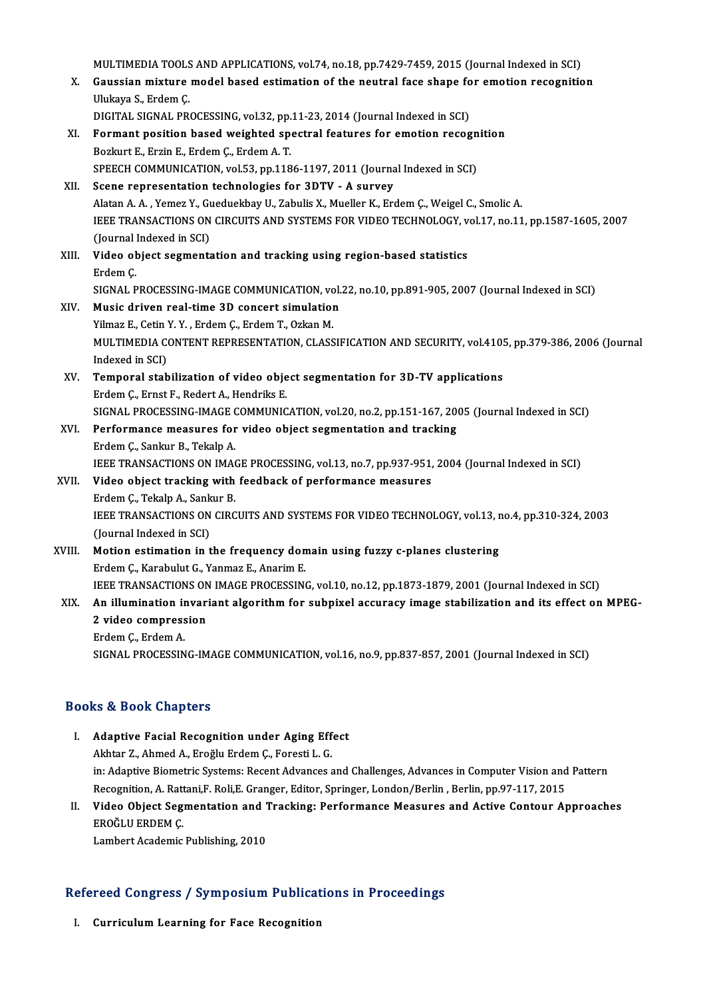MULTIMEDIA TOOLS AND APPLICATIONS, vol.74, no.18, pp.7429-7459, 2015 (Journal Indexed in SCI)<br>Coussian mixture model based estimation of the noutral fase shape for emation recognitio MULTIMEDIA TOOLS AND APPLICATIONS, vol.74, no.18, pp.7429-7459, 2015 (Journal Indexed in SCI)<br>X. Gaussian mixture model based estimation of the neutral face shape for emotion recognition MULTIMEDIA TOOLS<br>Gaussian mixture<br>Ulukaya S., Erdem Ç.<br>DICITAL SICNAL PR X. Gaussian mixture model based estimation of the neutral face shape for emotion recognition<br>Ulukaya S., Erdem C. Ulukaya S., Erdem Ç.<br>DIGITAL SIGNAL PROCESSING, vol.32, pp.11-23, 2014 (Journal Indexed in SCI)<br>XI. Formant position based weighted spectral features for emotion recognition<br>Regiont F. Ergin E. Erdem C. Erdem A. T. DIGITAL SIGNAL PROCESSING, vol.32, pp.11-23, 2014 (Journal Indexed in SCI)<br>Formant position based weighted spectral features for emotion recog<br>Bozkurt E., Erzin E., Erdem C., Erdem A. T. Formant position based weighted spectral features for emotion recogn<br>Bozkurt E., Erzin E., Erdem Ç., Erdem A. T.<br>SPEECH COMMUNICATION, vol.53, pp.1186-1197, 2011 (Journal Indexed in SCI)<br>Seene representation technologies f SPEECH COMMUNICATION, vol.53, pp.1186-1197, 2011 (Journal Indexed in SCI)<br>XII. Scene representation technologies for 3DTV - A survey SPEECH COMMUNICATION, vol.53, pp.1186-1197, 2011 (Journal Indexed in SCI)<br>Scene representation technologies for 3DTV - A survey<br>Alatan A. A. , Yemez Y., Gueduekbay U., Zabulis X., Mueller K., Erdem Ç., Weigel C., Smolic A. IEEE TRANSACTIONS ON CIRCUITS AND SYSTEMS FOR VIDEO TECHNOLOGY, vol.17, no.11, pp.1587-1605, 2007<br>(Journal Indexed in SCI) Alatan A. A. , Yemez Y., Gu<br>IEEE TRANSACTIONS ON<br>(Journal Indexed in SCI)<br>Video object sogmants IEEE TRANSACTIONS ON CIRCUITS AND SYSTEMS FOR VIDEO TECHNOLOGY, v<br>(Journal Indexed in SCI)<br>XIII. Video object segmentation and tracking using region-based statistics<br>Frdem C (Journal)<br>Video ol<br>Erdem Ç.<br>SICNAL B Video object segmentation and tracking using region-based statistics<br>Erdem Ç.<br>SIGNAL PROCESSING-IMAGE COMMUNICATION, vol.22, no.10, pp.891-905, 2007 (Journal Indexed in SCI)<br>Music driver real time 3D sensert simulation Erdem Ç.<br>SIGNAL PROCESSING-IMAGE COMMUNICATION, vol.<br>XIV. Music driven real-time 3D concert simulation SIGNAL PROCESSING-IMAGE COMMUNICATION, vo<br>Music driven real-time 3D concert simulation<br>Yilmaz E., Cetin Y. Y. , Erdem C., Erdem T., Ozkan M.<br>MIU TIMEDIA CONTENT REPRESENTATION CLASS MULTIMEDIA CONTENT REPRESENTATION, CLASSIFICATION AND SECURITY, vol.4105, pp.379-386, 2006 (Journal<br>Indexed in SCI) Yilmaz E., Cetin Y. Y., Erdem C., Erdem T., Ozkan M. MULTIMEDIA CONTENT REPRESENTATION, CLASSIFICATION AND SECURITY, vol.410!<br>Indexed in SCI)<br>XV. Temporal stabilization of video object segmentation for 3D-TV applications<br>Frdam C. Ernst E. Badart A. Handriks E. Indexed in SCI)<br>Temporal stabilization of video obje<br>Erdem Ç., Ernst F., Redert A., Hendriks E.<br>SICNAL PROCESSING IMAGE COMMUNIC Temporal stabilization of video object segmentation for 3D-TV applications<br>Erdem Ç., Ernst F., Redert A., Hendriks E.<br>SIGNAL PROCESSING-IMAGE COMMUNICATION, vol.20, no.2, pp.151-167, 2005 (Journal Indexed in SCI)<br>Performan Erdem Ç., Ernst F., Redert A., Hendriks E.<br>SIGNAL PROCESSING-IMAGE COMMUNICATION, vol.20, no.2, pp.151-167, 20<br>XVI. Performance measures for video object segmentation and tracking<br>Erdem Ç., Sankur B., Tekalp A. SIGNAL PROCESSING-IMAGE (<br>Performance measures for<br>Erdem Ç., Sankur B., Tekalp A.<br>IEEE TRANSACTIONS ON IMAG Performance measures for video object segmentation and tracking<br>Erdem Ç., Sankur B., Tekalp A.<br>IEEE TRANSACTIONS ON IMAGE PROCESSING, vol.13, no.7, pp.937-951, 2004 (Journal Indexed in SCI)<br>Video object tracking with foodb XVII. Video object tracking with feedback of performance measures IEEE TRANSACTIONS ON IMA<br>**Video object tracking with<br>Erdem Ç., Tekalp A., Sankur B.**<br>IEEE TRANSACTIONS ON CIRC IEEE TRANSACTIONS ON CIRCUITS AND SYSTEMS FOR VIDEO TECHNOLOGY, vol.13, no.4, pp.310-324, 2003<br>(Journal Indexed in SCI) Erdem C., Tekalp A., Sankur B. IEEE TRANSACTIONS ON CIRCUITS AND SYSTEMS FOR VIDEO TECHNOLOGY, vol.13, r<br>(Journal Indexed in SCI)<br>XVIII. Motion estimation in the frequency domain using fuzzy c-planes clustering<br>Redom C. Karabulut C. Vanmer E. Anarim F. (Journal Indexed in SCI)<br>Motion estimation in the frequency don<br>Erdem Ç., Karabulut G., Yanmaz E., Anarim E.<br>IEEE TRANSACTIONS ON IMACE PROCESSIN Erdem Ç., Karabulut G., Yanmaz E., Anarim E.<br>IEEE TRANSACTIONS ON IMAGE PROCESSING, vol.10, no.12, pp.1873-1879, 2001 (Journal Indexed in SCI) Erdem Ç., Karabulut G., Yanmaz E., Anarim E.<br>IEEE TRANSACTIONS ON IMAGE PROCESSING, vol.10, no.12, pp.1873-1879, 2001 (Journal Indexed in SCI)<br>XIX. An illumination invariant algorithm for subpixel accuracy image stabil IEEE TRANSACTIONS ON<br>An illumination invari<br>2 video compression<br>Endem C. Endem A **An illumination in<br>2 video compress<br>Erdem Ç., Erdem A.<br>SICNAL PROCESSIN** 2 video compression<br>Erdem Ç., Erdem A.<br>SIGNAL PROCESSING-IMAGE COMMUNICATION, vol.16, no.9, pp.837-857, 2001 (Journal Indexed in SCI)

## Books&Book Chapters

- I. Adaptive Facial Recognition under Aging Effect Akhtar Z., Ahmed A., Eroğlu Erdem Ç., Foresti L. G. Adaptive Facial Recognition under Aging Effect<br>Akhtar Z., Ahmed A., Eroğlu Erdem Ç., Foresti L. G.<br>in: Adaptive Biometric Systems: Recent Advances and Challenges, Advances in Computer Vision and Pattern<br>Becognition A. Batt Akhtar Z., Ahmed A., Eroğlu Erdem Ç., Foresti L. G.<br>in: Adaptive Biometric Systems: Recent Advances and Challenges, Advances in Computer Vision and<br>Recognition, A. Rattani,F. Roli,E. Granger, Editor, Springer, London/Berli in: Adaptive Biometric Systems: Recent Advances and Challenges, Advances in Computer Vision and Pattern<br>Recognition, A. Rattani,F. Roli,E. Granger, Editor, Springer, London/Berlin , Berlin, pp.97-117, 2015<br>II. Video Object
- Recognition, A. Ratt<br>Video Object Seg<br>EROĞLU ERDEM Ç.<br>Lambart Asadamia Video Object Segmentation and 1<br>EROĞLU ERDEM Ç.<br>Lambert Academic Publishing, 2010

# Lambert Academic Publishing, 2010<br>Refereed Congress / Symposium Publications in Proceedings efereed Congress / Symposium Publicat<br>I. Curriculum Learning for Face Recognition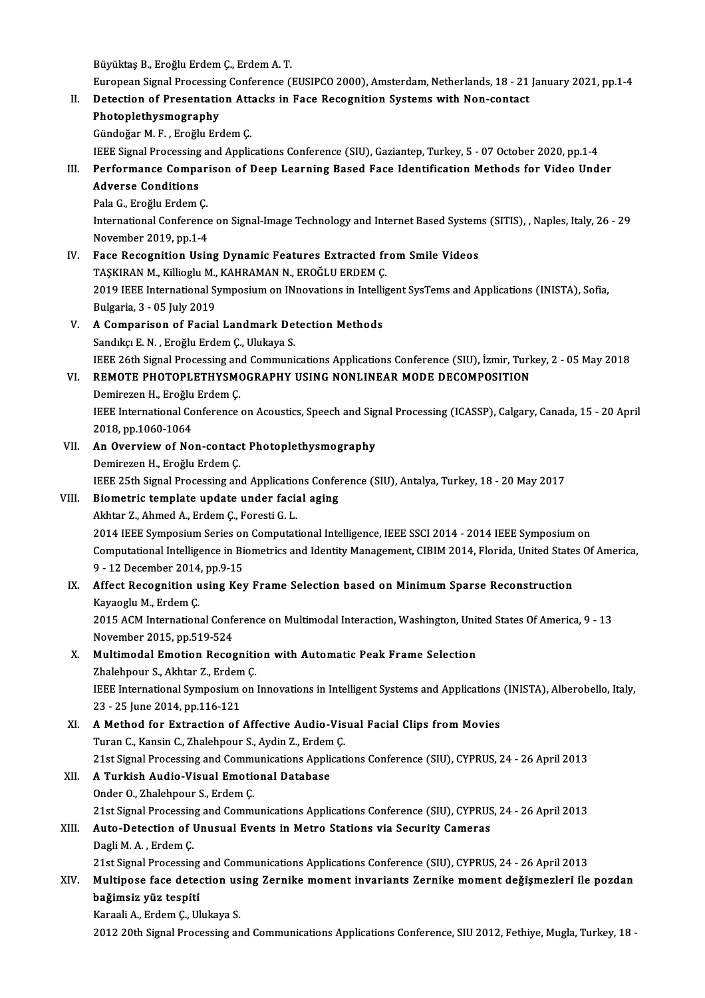BüyüktaşB.,EroğluErdemÇ.,ErdemA.T.

Büyüktaş B., Eroğlu Erdem Ç., Erdem A. T.<br>European Signal Processing Conference (EUSIPCO 2000), Amsterdam, Netherlands, 18 - 21 January 2021, pp.1-4<br>Petestian of Procentation Attacks in Ease Pesegnition Systems with Nen-se

## II. Detection of Presentation Attacks in Face Recognition Systems with Non-contact<br>Photoplethysmography

European Signal Processing<br>Detection of Presentation<br>Photoplethysmography<br>Cündoğan M.E. Enoğlu Ex

Gündoğar M.F., Eroğlu Erdem Ç.

IEEE Signal Processing and Applications Conference (SIU), Gaziantep, Turkey, 5 - 07 October 2020, pp.1-4

## Gündoğar M. F. , Eroğlu Erdem Ç.<br>IEEE Signal Processing and Applications Conference (SIU), Gaziantep, Turkey, 5 - 07 October 2020, pp.1-4<br>III. Performance Comparison of Deep Learning Based Face Identification Methods f **IEEE Signal Processing<br>Performance Compa<br>Adverse Conditions** Performance Compar<br>Adverse Conditions<br>Pala G., Eroğlu Erdem Ç.<br>International Conference

Adverse Conditions<br>Pala G., Eroğlu Erdem Ç.<br>International Conference on Signal-Image Technology and Internet Based Systems (SITIS), , Naples, Italy, 26 - 29 Pala G., Eroğlu Erdem Ç.<br>International Conference<br>November 2019, pp.1-4<br>Face Pecesnition Hein International Conference on Signal-Image Technology and Internet Based System<br>November 2019, pp.1-4<br>IV. Face Recognition Using Dynamic Features Extracted from Smile Videos<br>TASVIPAN M. Killiagh: M. KAHPAMAN N. EPOČLU EPDEM

- November 2019, pp.1-4<br>IV. Face Recognition Using Dynamic Features Extracted from Smile Videos<br>TAŞKIRAN M., Killioglu M., KAHRAMAN N., EROĞLU ERDEM Ç. Face Recognition Using Dynamic Features Extracted from Smile Videos<br>TAŞKIRAN M., Killioglu M., KAHRAMAN N., EROĞLU ERDEM Ç.<br>2019 IEEE International Symposium on INnovations in Intelligent SysTems and Applications (INISTA), TAŞKIRAN M., Killioglu M.,<br>2019 IEEE International S.<br>Bulgaria, 3 - 05 July 2019<br>A Companison of Fasial
- 2019 IEEE International Symposium on INnovations in Intelli<br>Bulgaria, 3 05 July 2019<br>V. A Comparison of Facial Landmark Detection Methods<br>Sanduar E.N. Exağlu Endam C. Ululrava S. Bulgaria, 3 - 05 July 2019<br>V. A Comparison of Facial Landmark Detection Methods<br>Sandıkçı E.N., Eroğlu Erdem Ç., Ulukaya S. A Comparison of Facial Landmark Detection Methods<br>Sandıkçı E. N. , Eroğlu Erdem Ç., Ulukaya S.<br>IEEE 26th Signal Processing and Communications Applications Conference (SIU), İzmir, Turkey, 2 - 05 May 2018<br>REMOTE RHOTORI ETH Sandıkçı E. N. , Eroğlu Erdem Ç., Ulukaya S.<br>IEEE 26th Signal Processing and Communications Applications Conference (SIU), İzmir, Turk<br>VI. REMOTE PHOTOPLETHYSMOGRAPHY USING NONLINEAR MODE DECOMPOSITION<br>Deminaran H. Erağlu

IEEE 26th Signal Processing an<br>REMOTE PHOTOPLETHYSMO<br>Demirezen H., Eroğlu Erdem Ç.<br>IEEE International Conference

Demirezen H., Eroğlu Erdem Ç.

VI. REMOTE PHOTOPLETHYSMOGRAPHY USING NONLINEAR MODE DECOMPOSITION<br>Demirezen H., Eroğlu Erdem Ç.<br>IEEE International Conference on Acoustics, Speech and Signal Processing (ICASSP), Calgary, Canada, 15 - 20 April<br>2018, pp.10 IEEE International Conference on Acoustics, Speech and Sig<br>2018, pp.1060-1064<br>VII. An Overview of Non-contact Photoplethysmography<br>Demireren H. Ereğlu Erdem C

# 2018, pp.1060-1064<br>**An Overview of Non-contac**<br>Demirezen H., Eroğlu Erdem Ç.<br><sup>IEEE 25th</sub> Signal Processing an</sup>

An Overview of Non-contact Photoplethysmography<br>Demirezen H., Eroğlu Erdem Ç.<br>IEEE 25th Signal Processing and Applications Conference (SIU), Antalya, Turkey, 18 - 20 May 2017<br>Piemetris template undate under fesial asing

# Demirezen H., Eroğlu Erdem Ç.<br>IEEE 25th Signal Processing and Applications Confe:<br>VIII. Biometric template update under facial aging<br>Akhtar Z., Ahmed A., Erdem C., Foresti G. L. IEEE 25th Signal Processing and Application<br>Biometric template update under facial<br>Akhtar Z., Ahmed A., Erdem Ç., Foresti G. L.

2014 IEEE Symposium Series on Computational Intelligence, IEEE SSCI 2014 - 2014 IEEE Symposium on Akhtar Z., Ahmed A., Erdem Ç., Foresti G. L.<br>2014 IEEE Symposium Series on Computational Intelligence, IEEE SSCI 2014 - 2014 IEEE Symposium on<br>Computational Intelligence in Biometrics and Identity Management, CIBIM 2014, F 2014 IEEE Symposium Series or<br>Computational Intelligence in Bi<br>9 - 12 December 2014, pp.9-15<br>Affect Becognition using Key Computational Intelligence in Biometrics and Identity Management, CIBIM 2014, Florida, United State<br>9 - 12 December 2014, pp.9-15<br>IX. Affect Recognition using Key Frame Selection based on Minimum Sparse Reconstruction<br>Vavo

# 9 - 12 December 2014, pp.9-15<br>IX. Affect Recognition using Key Frame Selection based on Minimum Sparse Reconstruction<br>Kayaoglu M., Erdem C. Affect Recognition using Key Frame Selection based on Minimum Sparse Reconstruction<br>Kayaoglu M., Erdem Ç.<br>2015 ACM International Conference on Multimodal Interaction, Washington, United States Of America, 9 - 13<br>Navamber 2

Kayaoglu M., Erdem Ç.<br>2015 ACM International Confe<br>November 2015, pp.519-524<br>Multimodal Emotion Bosse 2015 ACM International Conference on Multimodal Interaction, Washington, Unit<br>November 2015, pp.519-524<br>X. Multimodal Emotion Recognition with Automatic Peak Frame Selection<br>Zhalahnaur S. Althar Z. Erdam G.

# November 2015, pp.519-524<br>Multimodal Emotion Recogniti<br>Zhalehpour S., Akhtar Z., Erdem Ç.<br>IEEE International Sumnesium on

Multimodal Emotion Recognition with Automatic Peak Frame Selection<br>Zhalehpour S., Akhtar Z., Erdem Ç.<br>IEEE International Symposium on Innovations in Intelligent Systems and Applications (INISTA), Alberobello, Italy,<br>22 - 2 Zhalehpour S., Akhtar Z., Erdem<br>IEEE International Symposium<br>23 - 25 June 2014, pp.116-121<br>A Mathod for Extraction of IEEE International Symposium on Innovations in Intelligent Systems and Applications<br>23 - 25 June 2014, pp.116-121<br>XI. A Method for Extraction of Affective Audio-Visual Facial Clips from Movies<br>Turan C. Kansin C. Zhalabnour

23 - 25 June 2014, pp.116-121<br>XI. A Method for Extraction of Affective Audio-Visual Facial Clips from Movies<br>Turan C., Kansin C., Zhalehpour S., Aydin Z., Erdem C. A Method for Extraction of Affective Audio-Visual Facial Clips from Movies<br>Turan C., Kansin C., Zhalehpour S., Aydin Z., Erdem Ç.<br>21st Signal Processing and Communications Applications Conference (SIU), CYPRUS, 24 - 26 Apr

## XII. A Turkish Audio-Visual Emotional Database<br>Onder O., Zhalehpour S., Erdem C.

21st Signal Processing and Commi<br>A Turkish Audio-Visual Emotio<br>Onder O., Zhalehpour S., Erdem Ç.<br>21st Signal Processing and Commi

21st Signal Processing and Communications Applications Conference (SIU), CYPRUS, 24 - 26 April 2013

Onder O., Zhalehpour S., Erdem Ç.<br>21st Signal Processing and Communications Applications Conference (SIU), CYPRUS<br>XIII. Auto-Detection of Unusual Events in Metro Stations via Security Cameras<br>Dack M.A., Erdem C. 21st Signal Processin<br>**Auto-Detection of I**<br>Dagli M. A. , Erdem Ç.<br>21st Signal Processin

Dagli M. A. , Erdem Ç.<br>21st Signal Processing and Communications Applications Conference (SIU), CYPRUS, 24 - 26 April 2013

## Dagli M. A. , Erdem Ç.<br>21st Signal Processing and Communications Applications Conference (SIU), CYPRUS, 24 - 26 April 2013<br>XIV. Multipose face detection using Zernike moment invariants Zernike moment deǧişmezleri ile p 21st Signal Processing<br>Multipose face deted<br>bağimsiz yüz tespiti Multipose face detection us<br>bağimsiz yüz tespiti<br>Karaali A., Erdem Ç., Ulukaya S.<br>2012 20th Signal Presessing an bağimsiz yüz tespiti<br>Karaali A., Erdem Ç., Ulukaya S.<br>2012 20th Signal Processing and Communications Applications Conference, SIU 2012, Fethiye, Mugla, Turkey, 18 -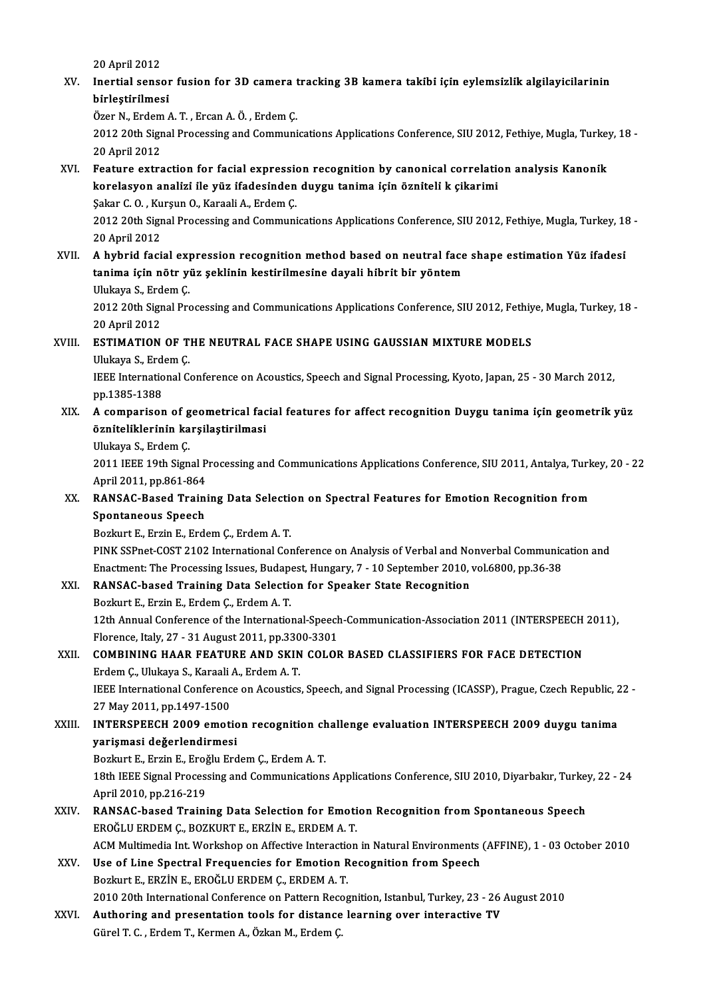20April2012

20 April 2012<br>XV. Inertial sensor fusion for 3D camera tracking 3B kamera takibi için eylemsizlik algilayicilarinin<br>hirlestirilmesi 20 April 2012<br>Inertial sensor<br>birleştirilmesi<br>Özer N. Erdem ( Inertial sensor fusion for 3D camera t<br>birleştirilmesi<br>Özer N., Erdem A. T. , Ercan A. Ö. , Erdem Ç.<br>2012 20th Signal Presessing and Communi

birleştirilmesi<br>Özer N., Erdem A. T. , Ercan A. Ö. , Erdem Ç.<br>2012 20th Signal Processing and Communications Applications Conference, SIU 2012, Fethiye, Mugla, Turkey, 18 -<br>20 April 2012 Özer N., Erdem<br>2012 20th Sigr<br>20 April 2012<br>Eosture extre 2012 20th Signal Processing and Communications Applications Conference, SIU 2012, Fethiye, Mugla, Turkey<br>20 April 2012<br>XVI. Feature extraction for facial expression recognition by canonical correlation analysis Kanonik<br>kan

20 April 2012<br>Feature extraction for facial expression recognition by canonical correlation<br>korelasyon analizi ile yüz ifadesinden duygu tanima için özniteli k çikarimi<br>Sakar C.O. Kursun Q. Karaali A. Erdam C Feature extraction for facial expression<br>korelasyon analizi ile yüz ifadesinden<br>Şakar C.O., Kurşun O., Karaali A., Erdem Ç.

korelasyon analizi ile yüz ifadesinden duygu tanima için özniteli k çikarimi<br>Şakar C. O. , Kurşun O., Karaali A., Erdem Ç.<br>2012 20th Signal Processing and Communications Applications Conference, SIU 2012, Fethiye, Mugla, T Sakar C. O. , Ku<br>2012 20th Sigr<br>20 April 2012<br>A hybrid fosi 2012 20th Signal Processing and Communications Applications Conference, SIU 2012, Fethiye, Mugla, Turkey, 18<br>20 April 2012<br>XVII. A hybrid facial expression recognition method based on neutral face shape estimation Yüz ifad

# 20 April 2012<br>XVII. A hybrid facial expression recognition method based on neutral face shape estimation Yüz ifadesi<br>tanima için nötr yüz şeklinin kestirilmesine dayali hibrit bir yöntem A hybrid facial exp<br>tanima için nötr yı<br>Ulukaya S., Erdem Ç.<br>2012.20th Signal Pre

2012 20th Signal Processing and Communications Applications Conference, SIU 2012, Fethiye, Mugla, Turkey, 18 -<br>20 April 2012 Ulukaya S., Erd<br>2012 20th Sigr<br>20 April 2012<br>ESTIMATION

## XVIII. ESTIMATION OF THE NEUTRAL FACE SHAPE USING GAUSSIAN MIXTURE MODELS 20 April 2012<br>**ESTIMATION OF T**<br>Ulukaya S., Erdem Ç.<br><sup>IEEE</sup> International C

IEEE International Conference on Acoustics, Speech and Signal Processing, Kyoto, Japan, 25 - 30 March 2012, pp.1385-1388 Ulukaya S., Erd<br>IEEE Internatio<br>pp.1385-1388<br>A comporient IEEE International Conference on Acoustics, Speech and Signal Processing, Kyoto, Japan, 25 - 30 March 2012,<br>pp.1385-1388<br>XIX. A comparison of geometrical facial features for affect recognition Duygu tanima için geometrik y

# pp.1385-1388<br>A comparison of geometrical fac<br>özniteliklerinin karşilaştirilmasi<br>Ulukaya S. Erdem C A comparison of g<br>özniteliklerinin ka<br>Ulukaya S., Erdem Ç.<br>2011 IEEE 19th Sign

özniteliklerinin karşilaştirilmasi<br>Ulukaya S., Erdem Ç.<br>2011 IEEE 19th Signal Processing and Communications Applications Conference, SIU 2011, Antalya, Turkey, 20 - 22 Ulukaya S., Erdem Ç.<br>2011 IEEE 19th Signal P<br>April 2011, pp.861-864<br>BANSAC Pasad Traini 2011 IEEE 19th Signal Processing and Communications Applications Conference, SIU 2011, Antalya, Turk<br>April 2011, pp.861-864<br>XX. RANSAC-Based Training Data Selection on Spectral Features for Emotion Recognition from<br>Spectra

# April 2011, pp.861-864<br>RANSAC-Based Train:<br>Spontaneous Speech<br>Boglaut E. Exgin E. Ende RANSAC-Based Training Data Selection<br>Spontaneous Speech<br>Bozkurt E., Erzin E., Erdem Ç., Erdem A.T.<br>BINK SSPest COST 2102 International Con

Spontaneous Speech<br>Bozkurt E., Erzin E., Erdem Ç., Erdem A. T.<br>PINK SSPnet-COST 2102 International Conference on Analysis of Verbal and Nonverbal Communication and<br>Enastment: The Presessing Issues, Budanest, Hungary, 7, 10 Bozkurt E., Erzin E., Erdem Ç., Erdem A. T.<br>PINK SSPnet-COST 2102 International Conference on Analysis of Verbal and Nonverbal Communic<br>Enactment: The Processing Issues, Budapest, Hungary, 7 - 10 September 2010, vol.6800, PINK SSPnet-COST 2102 International Conference on Analysis of Verbal and No<br>Enactment: The Processing Issues, Budapest, Hungary, 7 - 10 September 2010,<br>XXI. RANSAC-based Training Data Selection for Speaker State Recognitio Enactment: The Processing Issues, Budapest, Hungary, 7 - 10 September 2010, vol.6800, pp.36-38<br>RANSAC-based Training Data Selection for Speaker State Recognition<br>Bozkurt E., Erzin E., Erdem Ç., Erdem A. T.

RANSAC-based Training Data Selection for Speaker State Recognition<br>Bozkurt E., Erzin E., Erdem Ç., Erdem A. T.<br>12th Annual Conference of the International-Speech-Communication-Association 2011 (INTERSPEECH 2011),<br>Flarance Bozkurt E., Erzin E., Erdem Ç., Erdem A. T.<br>12th Annual Conference of the International-Speech<br>Florence, Italy, 27 - 31 August 2011, pp.3300-3301<br>COMBINING HAAR EEATURE AND SKIN COLOR 12th Annual Conference of the International-Speech-Communication-Association 2011 (INTERSPEECH<br>Florence, Italy, 27 - 31 August 2011, pp.3300-3301<br>XXII. COMBINING HAAR FEATURE AND SKIN COLOR BASED CLASSIFIERS FOR FACE DETEC

## Florence, Italy, 27 - 31 August 2011, pp.330<br>**COMBINING HAAR FEATURE AND SKIN**<br>Erdem Ç., Ulukaya S., Karaali A., Erdem A. T. COMBINING HAAR FEATURE AND SKIN COLOR BASED CLASSIFIERS FOR FACE DETECTION<br>Erdem Ç., Ulukaya S., Karaali A., Erdem A. T.<br>IEEE International Conference on Acoustics, Speech, and Signal Processing (ICASSP), Prague, Czech Rep Erdem Ç., Ulukaya S., Karaali<br>IEEE International Conferenc<br>27 May 2011, pp.1497-1500<br>INTERSPEECH 2009 emeti

IEEE International Conference on Acoustics, Speech, and Signal Processing (ICASSP), Prague, Czech Republic, 2<br>27 May 2011, pp.1497-1500<br>XXIII. INTERSPEECH 2009 emotion recognition challenge evaluation INTERSPEECH 2009 duyg

## 27 May 2011, pp.1497-1500<br>INTERSPEECH 2009 emotion recognition ch<br>yarişmasi değerlendirmesi<br>Bozkurt E., Erzin E., Eroğlu Erdem Ç., Erdem A. T. XXIII. INTERSPEECH 2009 emotion recognition challenge evaluation INTERSPEECH 2009 duygu tanima

yarişmasi değerlendirmesi<br>Bozkurt E., Erzin E., Eroğlu Erdem Ç., Erdem A. T.<br>18th IEEE Signal Processing and Communications Applications Conference, SIU 2010, Diyarbakır, Turkey, 22 - 24<br>April 2010, pp.216, 219 Bozkurt E., Erzin E., Eroğ<br>18th IEEE Signal Proces:<br>April 2010, pp.216-219<br>BANSAC based Traini 18th IEEE Signal Processing and Communications Applications Conference, SIU 2010, Diyarbakır, Turkey<br>April 2010, pp.216-219<br>XXIV. RANSAC-based Training Data Selection for Emotion Recognition from Spontaneous Speech<br>RPOČI U

- April 2010, pp.216-219<br>RANSAC-based Training Data Selection for Emotion Recognition from Spontaneous Speech<br>EROĞLU ERDEM Ç., BOZKURT E., ERZİN E., ERDEM A. T. RANSAC-based Training Data Selection for Emotion Recognition from Spontaneous Speech<br>EROĞLU ERDEM Ç., BOZKURT E., ERZİN E., ERDEM A. T.<br>ACM Multimedia Int. Workshop on Affective Interaction in Natural Environments (AFFINE)
- XXV. Use of Line Spectral Frequencies for Emotion Recognition from Speech<br>Bozkurt E., ERZIN E., EROĞLU ERDEM C., ERDEM A. T. ACM Multimedia Int. Workshop on Affective Interactic<br>Use of Line Spectral Frequencies for Emotion R<br>Bozkurt E., ERZİN E., EROĞLU ERDEM Ç., ERDEM A. T.<br>2010 20th International Conference on Pattern Besse 2010 20th International Conference on Pattern Recognition, Istanbul, Turkey, 23 - 26 August 2010 Bozkurt E., ERZIN E., EROĞLU ERDEM Ç., ERDEM A. T.<br>2010 20th International Conference on Pattern Recognition, Istanbul, Turkey, 23 - 26<br>XXVI. Authoring and presentation tools for distance learning over interactive TV
- 2010 20th International Conference on Pattern Recc<br><mark>Authoring and presentation tools for distance</mark><br>Gürel T. C. , Erdem T., Kermen A., Özkan M., Erdem Ç.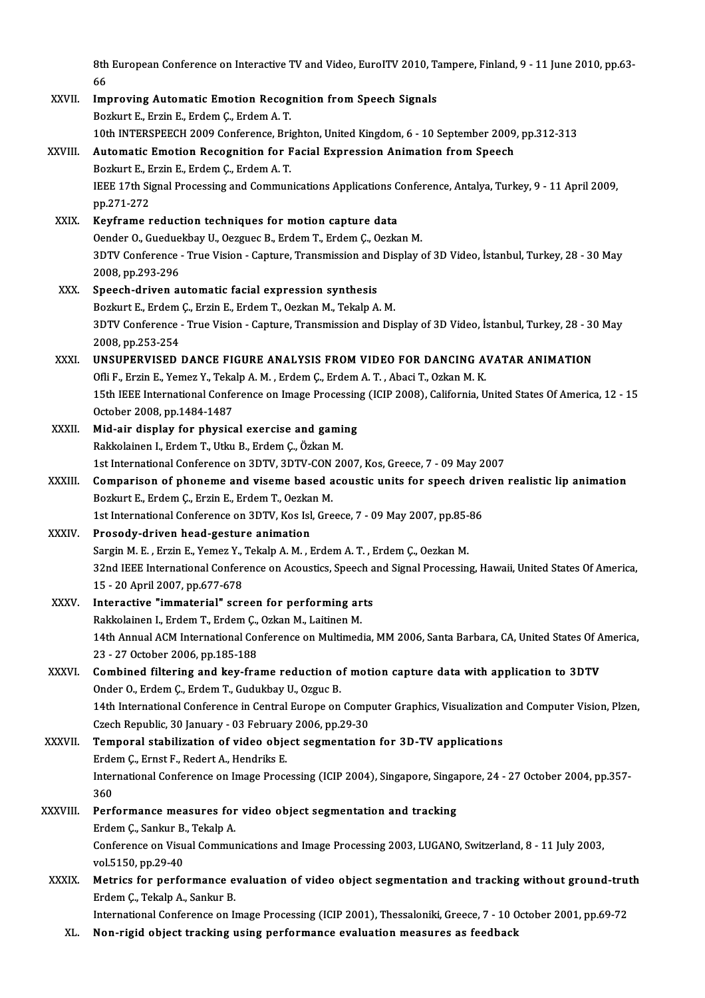8th European Conference on Interactive TV and Video, EuroITV 2010, Tampere, Finland, 9 - 11 June 2010, pp.63-<br>66 8th<br>66<br>Im 8th European Conference on Interactive TV and Video, EurolTV 2010, T.<br>66<br>XXVII. Improving Automatic Emotion Recognition from Speech Signals<br>Register F. Frin F. Endem C. Endem A. T.

|               | 66                                                                                                                                  |
|---------------|-------------------------------------------------------------------------------------------------------------------------------------|
| XXVII.        | <b>Improving Automatic Emotion Recognition from Speech Signals</b>                                                                  |
|               | Bozkurt E., Erzin E., Erdem C., Erdem A.T.                                                                                          |
|               | 10th INTERSPEECH 2009 Conference, Brighton, United Kingdom, 6 - 10 September 2009, pp.312-313                                       |
| XXVIII.       | Automatic Emotion Recognition for Facial Expression Animation from Speech                                                           |
|               | Bozkurt E., Erzin E., Erdem Ç., Erdem A.T.                                                                                          |
|               | IEEE 17th Signal Processing and Communications Applications Conference, Antalya, Turkey, 9 - 11 April 2009,                         |
|               | pp 271-272                                                                                                                          |
| XXIX.         | Keyframe reduction techniques for motion capture data                                                                               |
|               | Oender O., Gueduekbay U., Oezguec B., Erdem T., Erdem Ç., Oezkan M.                                                                 |
|               | 3DTV Conference - True Vision - Capture, Transmission and Display of 3D Video, İstanbul, Turkey, 28 - 30 May                        |
|               | 2008, pp 293-296                                                                                                                    |
| XXX.          | Speech-driven automatic facial expression synthesis                                                                                 |
|               | Bozkurt E., Erdem Ç., Erzin E., Erdem T., Oezkan M., Tekalp A. M.                                                                   |
|               | 3DTV Conference - True Vision - Capture, Transmission and Display of 3D Video, İstanbul, Turkey, 28 - 30 May                        |
|               | 2008, pp 253-254                                                                                                                    |
| XXXI.         | UNSUPERVISED DANCE FIGURE ANALYSIS FROM VIDEO FOR DANCING AVATAR ANIMATION                                                          |
|               | Ofli F., Erzin E., Yemez Y., Tekalp A. M., Erdem Ç., Erdem A. T., Abaci T., Ozkan M. K.                                             |
|               | 15th IEEE International Conference on Image Processing (ICIP 2008), California, United States Of America, 12 - 15                   |
|               | October 2008, pp.1484-1487                                                                                                          |
| XXXII.        | Mid-air display for physical exercise and gaming                                                                                    |
|               | Rakkolainen I., Erdem T., Utku B., Erdem Ç., Özkan M.                                                                               |
|               | 1st International Conference on 3DTV, 3DTV-CON 2007, Kos, Greece, 7 - 09 May 2007                                                   |
| <b>XXXIII</b> | Comparison of phoneme and viseme based acoustic units for speech driven realistic lip animation                                     |
|               | Bozkurt E., Erdem Ç., Erzin E., Erdem T., Oezkan M.                                                                                 |
|               | 1st International Conference on 3DTV, Kos Isl, Greece, 7 - 09 May 2007, pp 85-86                                                    |
| <b>XXXIV</b>  | Prosody-driven head-gesture animation                                                                                               |
|               | Sargin M. E., Erzin E., Yemez Y., Tekalp A. M., Erdem A. T., Erdem Ç., Oezkan M.                                                    |
|               | 32nd IEEE International Conference on Acoustics, Speech and Signal Processing, Hawaii, United States Of America,                    |
|               | 15 - 20 April 2007, pp 677-678                                                                                                      |
| <b>XXXV</b>   | Interactive "immaterial" screen for performing arts                                                                                 |
|               | Rakkolainen I., Erdem T., Erdem Ç., Ozkan M., Laitinen M.                                                                           |
|               | 14th Annual ACM International Conference on Multimedia, MM 2006, Santa Barbara, CA, United States Of America,                       |
|               | 23 - 27 October 2006, pp.185-188                                                                                                    |
| XXXVI.        | Combined filtering and key-frame reduction of motion capture data with application to 3DTV                                          |
|               | Onder O., Erdem Ç., Erdem T., Gudukbay U., Ozguc B.                                                                                 |
|               | 14th International Conference in Central Europe on Computer Graphics, Visualization and Computer Vision, Plzen,                     |
|               | Czech Republic, 30 January - 03 February 2006, pp.29-30                                                                             |
| <b>XXXVII</b> | Temporal stabilization of video object segmentation for 3D-TV applications                                                          |
|               | Erdem Ç., Ernst F., Redert A., Hendriks E.                                                                                          |
|               | International Conference on Image Processing (ICIP 2004), Singapore, Singapore, 24 - 27 October 2004, pp.357-                       |
|               | 360                                                                                                                                 |
| XXXVIII.      | Performance measures for video object segmentation and tracking                                                                     |
|               | Erdem Ç., Sankur B., Tekalp A.                                                                                                      |
|               | Conference on Visual Communications and Image Processing 2003, LUGANO, Switzerland, 8 - 11 July 2003,                               |
|               | vol 5150, pp 29-40                                                                                                                  |
| <b>XXXIX</b>  | Metrics for performance evaluation of video object segmentation and tracking without ground-truth<br>Erdem Ç., Tekalp A., Sankur B. |
|               | International Conference on Image Processing (ICIP 2001), Thessaloniki, Greece, 7 - 10 October 2001, pp.69-72                       |
| XL.           | Non-rigid object tracking using performance evaluation measures as feedback                                                         |
|               |                                                                                                                                     |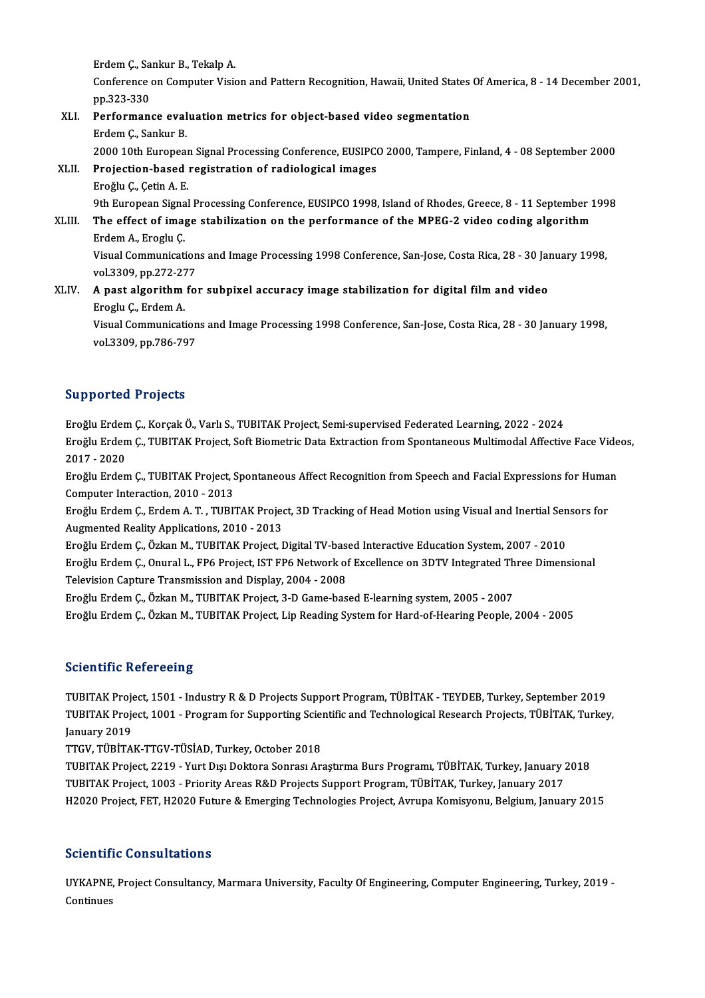endem Ç., Sankur B., Tekalp A.<br>Conference en Computer Vicio

Conference on Computer Vision and Pattern Recognition, Hawaii, United States Of America, 8 - 14 December 2001,<br>pp.323-330 Erdem Ç., Sa<br>Conference<br>pp.323-330<br>Porforman Conference on Computer Vision and Pattern Recognition, Hawaii, United States<br>pp.323-330<br>XLI. Performance evaluation metrics for object-based video segmentation

## pp.323-330<br>Performance eval<br>Erdem Ç., Sankur B.<br>2000 10th Europea Erdem Ç., Sankur B.<br>2000 10th European Signal Processing Conference, EUSIPCO 2000, Tampere, Finland, 4 - 08 September 2000 Erdem Ç., Sankur B.<br>2000 10th European Signal Processing Conference, EUSIPC<br>XLII. Projection-based registration of radiological images<br>Freğlu C. Cetin A. E

# 2000 10th European<br>Projection-based<br>Eroğlu Ç., Çetin A. E.<br><sup>Oth European Signal</sub></sup>

Projection-based registration of radiological images<br>Eroğlu Ç., Çetin A. E.<br>9th European Signal Processing Conference, EUSIPCO 1998, Island of Rhodes, Greece, 8 - 11 September 1998<br>The effect of image stabilization on the

Eroğlu Ç., Çetin A. E.<br>9th European Signal Processing Conference, EUSIPCO 1998, Island of Rhodes, Greece, 8 - 11 September 1<br>XLIII. The effect of image stabilization on the performance of the MPEG-2 video coding algorithm<br> 9th European Signa<br><mark>The effect of ima<sub>l</sub><br>Erdem A., Eroglu Ç.</mark><br>Visual Communisati The effect of image stabilization on the performance of the MPEG-2 video coding algorithm<br>Erdem A., Eroglu Ç.<br>Visual Communications and Image Processing 1998 Conference, San-Jose, Costa Rica, 28 - 30 January 1998,

vol.3309,pp.272-277 Visual Communications and Image Processing 1998 Conference, San-Jose, Costa Rica, 28 - 30 Jan<br>vol.3309, pp.272-277<br>XLIV. A past algorithm for subpixel accuracy image stabilization for digital film and video

# vol.3309, pp.272-27<br><mark>A past algorithm</mark><br>Eroglu Ç., Erdem A.<br>Vieuel Communicati A past algorithm for subpixel accuracy image stabilization for digital film and video<br>Eroglu Ç., Erdem A.<br>Visual Communications and Image Processing 1998 Conference, San-Jose, Costa Rica, 28 - 30 January 1998,<br>vol 3300 pp

Eroglu Ç., Erdem A.<br>Visual Communications and Image Processing 1998 Conference, San-Jose, Costa Rica, 28 - 30 January 1998,<br>vol.3309, pp.786-797

## Supported Projects

EroğluErdemÇ.,KorçakÖ.,VarlıS.,TUBITAKProject,Semi-supervised Federated Learning,2022 -2024 Eroğlu Erdem Ç., Korçak Ö., Varlı S., TUBITAK Project, Semi-supervised Federated Learning, 2022 - 2024<br>Eroğlu Erdem Ç., Korçak Ö., Varlı S., TUBITAK Project, Semi-supervised Federated Learning, 2022 - 2024<br>2017 - 2020 Eroğlu Erden<br>Eroğlu Erden<br>2017 - 2020<br>Eroğlu Erden Eroğlu Erdem Ç., TUBITAK Project, Soft Biometric Data Extraction from Spontaneous Multimodal Affective Face Vide<br>2017 - 2020<br>Eroğlu Erdem Ç., TUBITAK Project, Spontaneous Affect Recognition from Speech and Facial Expressio

2017 - 2020<br>Eroğlu Erdem Ç., TUBITAK Project, Spontaneous Affect Recognition from Speech and Facial Expressions for Human<br>Computer Interaction, 2010 - 2013 Eroğlu Erdem Ç., TUBITAK Project, Spontaneous Affect Recognition from Speech and Facial Expressions for Huma<br>Computer Interaction, 2010 - 2013<br>Eroğlu Erdem Ç., Erdem A. T. , TUBITAK Project, 3D Tracking of Head Motion usin

Computer Interaction, 2010 - 2013<br>Eroğlu Erdem Ç., Erdem A. T. , TUBITAK Projec<br>Augmented Reality Applications, 2010 - 2013<br>Eroğlu Erdem G. Özkon M. TUBITAK Project I Eroğlu Erdem Ç., Erdem A. T. , TUBITAK Project, 3D Tracking of Head Motion using Visual and Inertial Sen<br>Augmented Reality Applications, 2010 - 2013<br>Eroğlu Erdem Ç., Özkan M., TUBITAK Project, Digital TV-based Interactive

Augmented Reality Applications, 2010 - 2013<br>Eroğlu Erdem Ç., Özkan M., TUBITAK Project, Digital TV-based Interactive Education System, 2007 - 2010<br>Eroğlu Erdem Ç., Onural L., FP6 Project, IST FP6 Network of Excellence on 3 Eroğlu Erdem Ç., Özkan M., TUBITAK Project, Digital TV-bas<br>Eroğlu Erdem Ç., Onural L., FP6 Project, IST FP6 Network of<br>Television Capture Transmission and Display, 2004 - 2008<br>Eroğlu Erdem C. Özkan M. TUBITAK Project 3 D.C Eroğlu Erdem Ç., Onural L., FP6 Project, IST FP6 Network of Excellence on 3DTV Integrated Th<br>Television Capture Transmission and Display, 2004 - 2008<br>Eroğlu Erdem Ç., Özkan M., TUBITAK Project, 3-D Game-based E-learning sy

Television Capture Transmission and Display, 2004 - 2008<br>Eroğlu Erdem Ç., Özkan M., TUBITAK Project, 3-D Game-based E-learning system, 2005 - 2007<br>Eroğlu Erdem Ç., Özkan M., TUBITAK Project, Lip Reading System for Hard-of-

## **Scientific Refereeing**

Scientific Refereeing<br>TUBITAK Project, 1501 - Industry R & D Projects Support Program, TÜBİTAK - TEYDEB, Turkey, September 2019<br>TUBITAK Project, 1991 - Program for Supporting Scientific and Technological Besearch Projects, TUBITAK Project, 1001 - Program for Supporting Scientific and Technological Research Projects, TÜBİTAK, Turkey,<br>January 2019 TUBITAK Proj<mark>e</mark><br>TUBITAK Proje<br>January 2019<br>TTCV TÜPITA

TTGV,TÜBİTAK-TTGV-TÜSİAD,Turkey,October 2018

January 2019<br>TTGV, TÜBİTAK-TTGV-TÜSİAD, Turkey, October 2018<br>TUBITAK Project, 2219 - Yurt Dışı Doktora Sonrası Araştırma Burs Programı, TÜBİTAK, Turkey, January 2018<br>TUBITAK Project, 1003 - Priority Arees P&D Projects Sunn TTGV, TÜBİTAK-TTGV-TÜSİAD, Turkey, October 2018<br>TUBITAK Project, 2219 - Yurt Dışı Doktora Sonrası Araştırma Burs Programı, TÜBİTAK, Turkey, January 2<br>TUBITAK Project, 1003 - Priority Areas R&D Projects Support Program, TÜB TUBITAK Project, 2219 - Yurt Dışı Doktora Sonrası Araştırma Burs Programı, TÜBİTAK, Turkey, January 2018<br>TUBITAK Project, 1003 - Priority Areas R&D Projects Support Program, TÜBİTAK, Turkey, January 2017<br>H2020 Project, FET H2020 Project, FET, H2020 Future & Emerging Technologies Project, Avrupa Komisyonu, Belgium, January 2015<br>Scientific Consultations

Scie**ntific Consultations**<br>UYKAPNE, Project Consultancy, Marmara University, Faculty Of Engineering, Computer Engineering, Turkey, 2019 -<br>Continues **Continues**<br>Continues